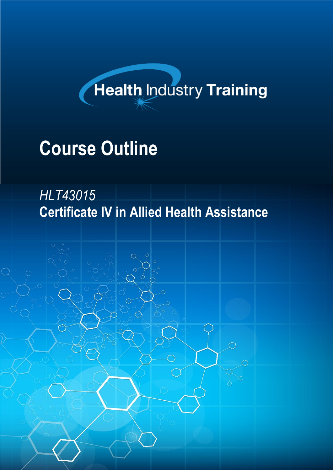# **Health Industry Training**

## **Course Outline**

*HLT43015* **Certificate IV in Allied Health Assistance**

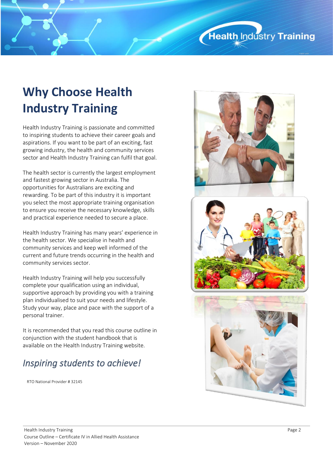

### **Why Choose Health Industry Training**

Health Industry Training is passionate and committed to inspiring students to achieve their career goals and aspirations. If you want to be part of an exciting, fast growing industry, the health and community services sector and Health Industry Training can fulfil that goal.

The health sector is currently the largest employment and fastest growing sector in Australia. The opportunities for Australians are exciting and rewarding. To be part of this industry it is important you select the most appropriate training organisation to ensure you receive the necessary knowledge, skills and practical experience needed to secure a place.

Health Industry Training has many years' experience in the health sector. We specialise in health and community services and keep well informed of the current and future trends occurring in the health and community services sector.

Health Industry Training will help you successfully complete your qualification using an individual, supportive approach by providing you with a training plan individualised to suit your needs and lifestyle. Study your way, place and pace with the support of a personal trainer.

It is recommended that you read this course outline in conjunction with the student handbook that is available on the Health Industry Training website.

### *Inspiring students to achieve!*

RTO National Provider # 32145





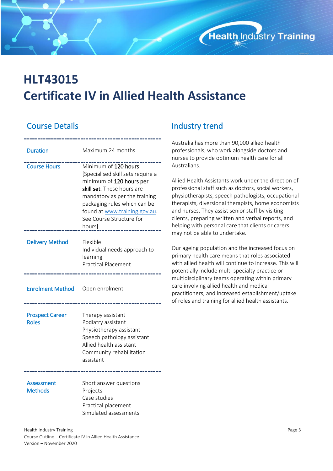

## **HLT43015 Certificate IV in Allied Health Assistance**

#### **Course Details Course Act and Lindustry trend**

| <b>Duration</b>                        | Maximum 24 months                                                                                                                                                                                                                                           |  |
|----------------------------------------|-------------------------------------------------------------------------------------------------------------------------------------------------------------------------------------------------------------------------------------------------------------|--|
| <b>Course Hours</b>                    | Minimum of 120 hours<br>[Specialised skill sets require a<br>minimum of 120 hours per<br>skill set. These hours are<br>mandatory as per the training<br>packaging rules which can be<br>found at www.training.gov.au.<br>See Course Structure for<br>hours] |  |
| <b>Delivery Method</b>                 | Flexible<br>Individual needs approach to<br>learning<br><b>Practical Placement</b>                                                                                                                                                                          |  |
| <b>Enrolment Method</b>                | Open enrolment                                                                                                                                                                                                                                              |  |
| <b>Prospect Career</b><br><b>Roles</b> | Therapy assistant<br>Podiatry assistant<br>Physiotherapy assistant<br>Speech pathology assistant<br>Allied health assistant<br>Community rehabilitation<br>assistant                                                                                        |  |
| Assessment<br><b>Methods</b>           | Short answer questions<br>Projects<br>Case studies<br>Practical placement<br>Simulated assessments                                                                                                                                                          |  |

Australia has more than 90,000 allied health professionals, who work alongside doctors and nurses to provide optimum health care for all Australians.

Allied Health Assistants work under the direction of professional staff such as doctors, social workers, physiotherapists, speech pathologists, occupational therapists, diversional therapists, home economists and nurses. They assist senior staff by visiting clients, preparing written and verbal reports, and helping with personal care that clients or carers may not be able to undertake.

Our ageing population and the increased focus on primary health care means that roles associated with allied health will continue to increase. This will potentially include multi-specialty practice or multidisciplinary teams operating within primary care involving allied health and medical practitioners, and increased establishment/uptake of roles and training for allied health assistants.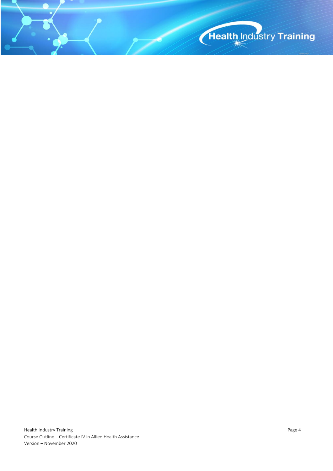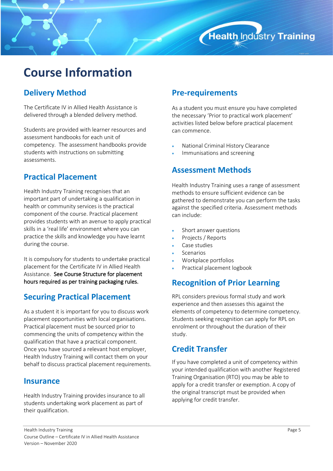

### **Course Information**

#### **Delivery Method**

The Certificate IV in Allied Health Assistance is delivered through a blended delivery method.

Students are provided with learner resources and assessment handbooks for each unit of competency. The assessment handbooks provide students with instructions on submitting assessments.

#### **Practical Placement**

Health Industry Training recognises that an important part of undertaking a qualification in health or community services is the practical component of the course. Practical placement provides students with an avenue to apply practical skills in a 'real life' environment where you can practice the skills and knowledge you have learnt during the course.

It is compulsory for students to undertake practical placement for the Certificate IV in Allied Health Assistance. See Course Structure for placement hours required as per training packaging rules.

#### **Securing Practical Placement**

As a student it is important for you to discuss work placement opportunities with local organisations. Practical placement must be sourced prior to commencing the units of competency within the qualification that have a practical component. Once you have sourced a relevant host employer, Health Industry Training will contact them on your behalf to discuss practical placement requirements.

#### **Insurance**

Health Industry Training provides insurance to all students undertaking work placement as part of their qualification.

#### **Pre-requirements**

As a student you must ensure you have completed the necessary 'Prior to practical work placement' activities listed below before practical placement can commence.

- National Criminal History Clearance
- Immunisations and screening

#### **Assessment Methods**

Health Industry Training uses a range of assessment methods to ensure sufficient evidence can be gathered to demonstrate you can perform the tasks against the specified criteria. Assessment methods can include:

- Short answer questions
- Projects / Reports
- Case studies
- **Scenarios**
- Workplace portfolios
- Practical placement logbook

#### **Recognition of Prior Learning**

RPL considers previous formal study and work experience and then assesses this against the elements of competency to determine competency. Students seeking recognition can apply for RPL on enrolment or throughout the duration of their study.

#### **Credit Transfer**

If you have completed a unit of competency within your intended qualification with another Registered Training Organisation (RTO) you may be able to apply for a credit transfer or exemption. A copy of the original transcript must be provided when applying for credit transfer.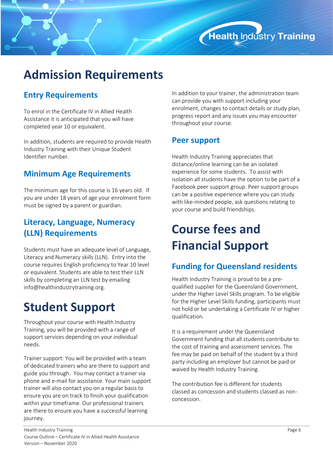

### **Admission Requirements**

#### **Entry Requirements**

To enrol in the Certificate IV in Allied Health Assistance it is anticipated that you will have completed year 10 or equivalent.

In addition, students are required to provide Health Industry Training with their Unique Student Identifier number.

#### **Minimum Age Requirements**

The minimum age for this course is 16 years old. If you are under 18 years of age your enrolment form must be signed by a parent or guardian.

#### **Literacy, Language, Numeracy (LLN) Requirements**

Students must have an adequate level of Language, Literacy and Numeracy skills (LLN). Entry into the course requires English proficiency to Year 10 level or equivalent. Students are able to test their LLN skills by completing an LLN test by emailing [info@healthindustrytraining.org.](mailto:info@healthindustrytraining.org)

### **Student Support**

Throughout your course with Health Industry Training, you will be provided with a range of support services depending on your individual needs.

Trainer support: You will be provided with a team of dedicated trainers who are there to support and guide you through. You may contact a trainer via phone and e-mail for assistance. Your main support trainer will also contact you on a regular basis to ensure you are on track to finish your qualification within your timeframe. Our professional trainers are there to ensure you have a successful learning journey.

In addition to your trainer, the administration team can provide you with support including your enrolment, changes to contact details or study plan, progress report and any issues you may encounter throughout your course.

#### **Peer support**

Health Industry Training appreciates that distance/online learning can be an isolated experience for some students. To assist with isolation all students have the option to be part of a Facebook peer support group. Peer support groups can be a positive experience where you can study with like-minded people, ask questions relating to your course and build friendships.

### **Course fees and Financial Support**

#### **Funding for Queensland residents**

Health Industry Training is proud to be a prequalified supplier for the Queensland Government, under the Higher Level Skills program. To be eligible for the Higher Level Skills funding, participants must not hold or be undertaking a Certificate IV or higher qualification.

It is a requirement under the Queensland Government funding that all students contribute to the cost of training and assessment services. The fee may be paid on behalf of the student by a third party including an employer but cannot be paid or waived by Health Industry Training.

The contribution fee is different for students classed as concession and students classed as nonconcession.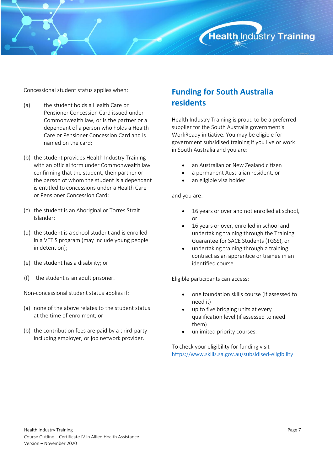

Concessional student status applies when:

- (a) the student holds a Health Care or Pensioner Concession Card issued under Commonwealth law, or is the partner or a dependant of a person who holds a Health Care or Pensioner Concession Card and is named on the card;
- (b) the student provides Health Industry Training with an official form under Commonwealth law confirming that the student, their partner or the person of whom the student is a dependant is entitled to concessions under a Health Care or Pensioner Concession Card;
- (c) the student is an Aboriginal or Torres Strait Islander;
- (d) the student is a school student and is enrolled in a VETiS program (may include young people in detention);
- (e) the student has a disability; or
- (f) the student is an adult prisoner.

Non-concessional student status applies if:

- (a) none of the above relates to the student status at the time of enrolment; or
- (b) the contribution fees are paid by a third-party including employer, or job network provider.

#### **Funding for South Australia residents**

Health Industry Training is proud to be a preferred supplier for the South Australia government's WorkReady initiative. You may be eligible for government subsidised training if you live or work in South Australia and you are:

- an Australian or New Zealand citizen
- a permanent Australian resident, or
- an eligible visa holder

and you are:

- 16 years or over and not enrolled at school, or
- 16 years or over, enrolled in school and undertaking training through the Training Guarantee for SACE Students (TGSS), or
- undertaking training through a training contract as an apprentice or trainee in an identified course

Eligible participants can access:

- one foundation skills course (if assessed to need it)
- up to five bridging units at every qualification level (if assessed to need them)
- unlimited priority courses.

To check your eligibility for funding visit <https://www.skills.sa.gov.au/subsidised-eligibility>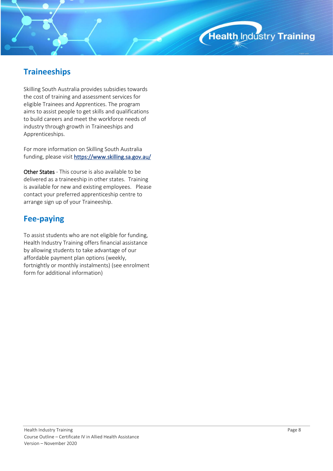#### **Traineeships**

Skilling South Australia provides subsidies towards the cost of training and assessment services for eligible Trainees and Apprentices. The program aims to assist people to get skills and qualifications to build careers and meet the workforce needs of industry through growth in Traineeships and Apprenticeships.

For more information on Skilling South Australia funding, please visit <https://www.skilling.sa.gov.au/>

Other States - This course is also available to be delivered as a traineeship in other states. Training is available for new and existing employees. Please contact your preferred apprenticeship centre to arrange sign up of your Traineeship.

#### **Fee-paying**

To assist students who are not eligible for funding, Health Industry Training offers financial assistance by allowing students to take advantage of our affordable payment plan options (weekly, fortnightly or monthly instalments) (see enrolment form for additional information)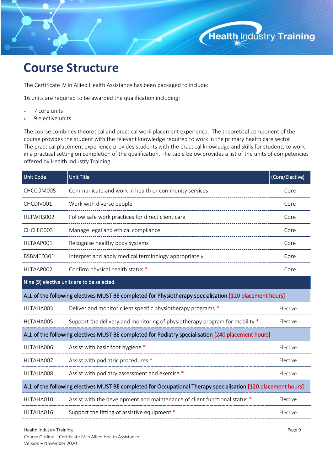### **Course Structure**

The Certificate IV in Allied Health Assistance has been packaged to include:

16 units are required to be awarded the qualification including:

- 7 core units
- 9 elective units

The course combines theoretical and practical work placement experience. The theoretical component of the course provides the student with the relevant knowledge required to work in the primary health care sector. The practical placement experience provides students with the practical knowledge and skills for students to work in a practical setting on completion of the qualification. The table below provides a list of the units of competencies offered by Health Industry Training.

| Unit Code                                                                                                      | <b>Unit Title</b>                                                           | (Core/Elective) |
|----------------------------------------------------------------------------------------------------------------|-----------------------------------------------------------------------------|-----------------|
| CHCCOM005                                                                                                      | Communicate and work in health or community services                        | Core            |
| CHCDIV001                                                                                                      | Work with diverse people                                                    | Core            |
| HLTWHS002                                                                                                      | Follow safe work practices for direct client care                           | Core            |
| CHCLEG003                                                                                                      | Manage legal and ethical compliance                                         | Core            |
| HLTAAP001                                                                                                      | Recognise healthy body systems                                              | Core            |
| BSBMED301                                                                                                      | Interpret and apply medical terminology appropriately                       | Core            |
| HLTAAP002                                                                                                      | Confirm physical health status *                                            | Core            |
|                                                                                                                | Nine (9) elective units are to be selected.                                 |                 |
| ALL of the following electives MUST BE completed for Physiotherapy specialisation [120 placement hours]        |                                                                             |                 |
| HLTAHA003                                                                                                      | Deliver and monitor client specific physiotherapy programs *                | Elective        |
| HLTAHA005                                                                                                      | Support the delivery and monitoring of physiotherapy program for mobility * | Elective        |
| ALL of the following electives MUST BE completed for Podiatry specialisation [240 placement hours]             |                                                                             |                 |
| HLTAHA006                                                                                                      | Assist with basic foot hygiene *                                            | Elective        |
| HLTAHA007                                                                                                      | Assist with podiatric procedures *                                          | Elective        |
| HLTAHA008                                                                                                      | Assist with podiatry assessment and exercise *                              | Elective        |
| ALL of the following electives MUST BE completed for Occupational Therapy specialisation [120 placement hours] |                                                                             |                 |
| HLTAHA010                                                                                                      | Assist with the development and maintenance of client functional status *   | Elective        |
| HLTAHA016                                                                                                      | Support the fitting of assistive equipment *                                | Elective        |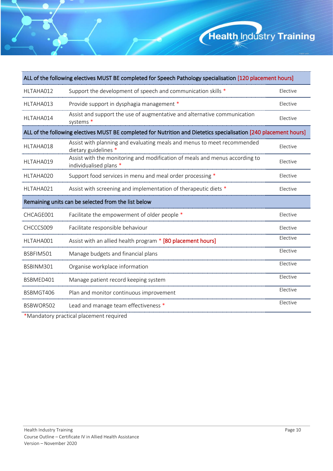

\*Mandatory practical placement required